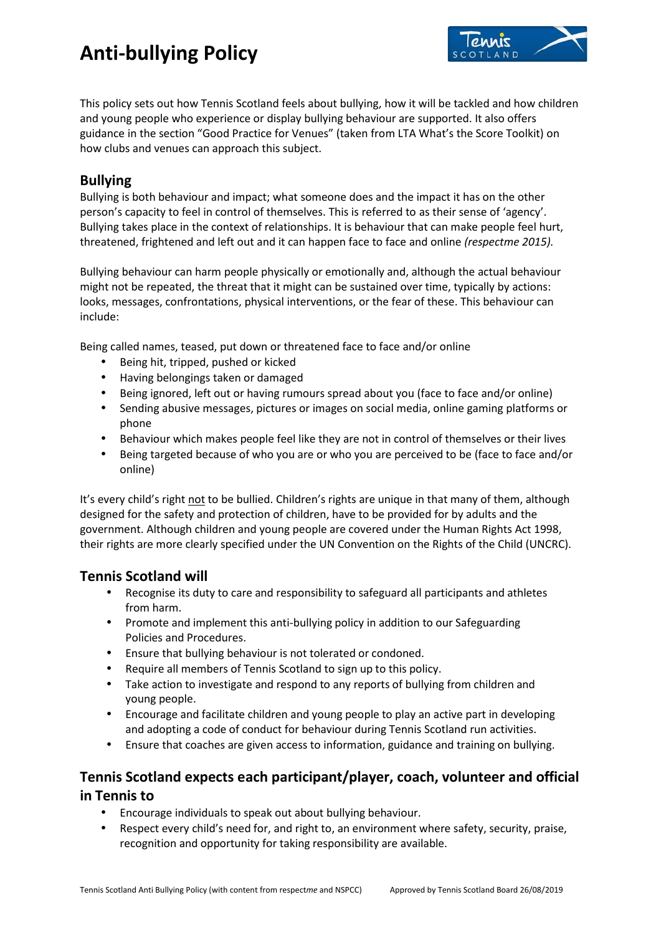

This policy sets out how Tennis Scotland feels about bullying, how it will be tackled and how children and young people who experience or display bullying behaviour are supported. It also offers guidance in the section "Good Practice for Venues" (taken from LTA What's the Score Toolkit) on how clubs and venues can approach this subject.

## **Bullying**

Bullying is both behaviour and impact; what someone does and the impact it has on the other person's capacity to feel in control of themselves. This is referred to as their sense of 'agency'. Bullying takes place in the context of relationships. It is behaviour that can make people feel hurt, threatened, frightened and left out and it can happen face to face and online *(respectme 2015).*

Bullying behaviour can harm people physically or emotionally and, although the actual behaviour might not be repeated, the threat that it might can be sustained over time, typically by actions: looks, messages, confrontations, physical interventions, or the fear of these. This behaviour can include:

Being called names, teased, put down or threatened face to face and/or online

- Being hit, tripped, pushed or kicked
- Having belongings taken or damaged
- Being ignored, left out or having rumours spread about you (face to face and/or online)
- Sending abusive messages, pictures or images on social media, online gaming platforms or phone
- Behaviour which makes people feel like they are not in control of themselves or their lives
- Being targeted because of who you are or who you are perceived to be (face to face and/or online)

It's every child's right not to be bullied. Children's rights are unique in that many of them, although designed for the safety and protection of children, have to be provided for by adults and the government. Although children and young people are covered under the Human Rights Act 1998, their rights are more clearly specified under the UN Convention on the Rights of the Child (UNCRC).

### **Tennis Scotland will**

- Recognise its duty to care and responsibility to safeguard all participants and athletes from harm.
- Promote and implement this anti-bullying policy in addition to our Safeguarding Policies and Procedures.
- Ensure that bullying behaviour is not tolerated or condoned.
- Require all members of Tennis Scotland to sign up to this policy.
- Take action to investigate and respond to any reports of bullying from children and young people.
- Encourage and facilitate children and young people to play an active part in developing and adopting a code of conduct for behaviour during Tennis Scotland run activities.
- Ensure that coaches are given access to information, guidance and training on bullying.

## **Tennis Scotland expects each participant/player, coach, volunteer and official in Tennis to**

- Encourage individuals to speak out about bullying behaviour.
- Respect every child's need for, and right to, an environment where safety, security, praise, recognition and opportunity for taking responsibility are available.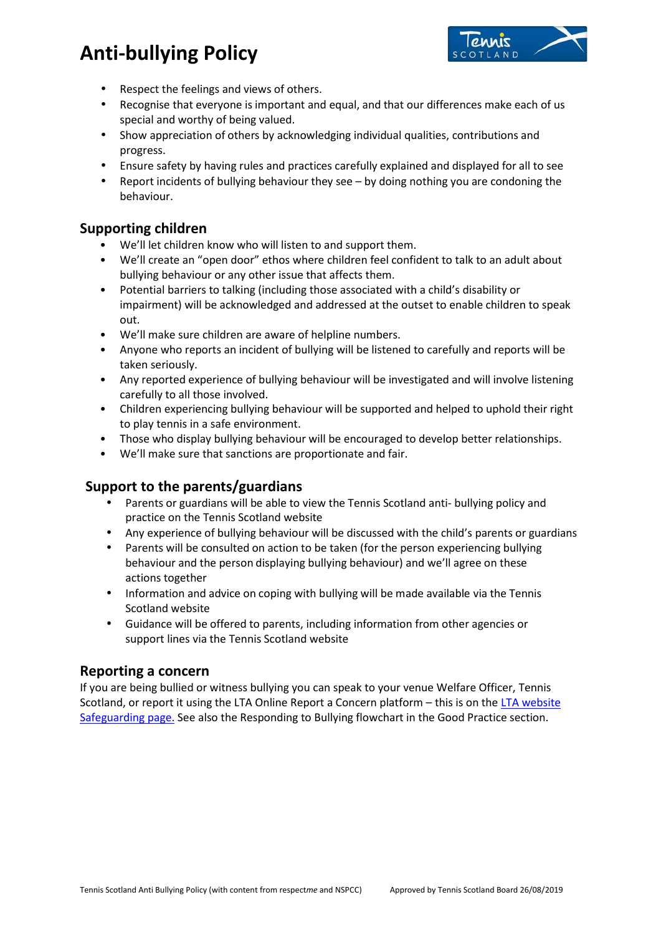

- Respect the feelings and views of others.
- Recognise that everyone is important and equal, and that our differences make each of us special and worthy of being valued.
- Show appreciation of others by acknowledging individual qualities, contributions and progress.
- Ensure safety by having rules and practices carefully explained and displayed for all to see
- Report incidents of bullying behaviour they see by doing nothing you are condoning the behaviour.

## **Supporting children**

- We'll let children know who will listen to and support them.
- We'll create an "open door" ethos where children feel confident to talk to an adult about bullying behaviour or any other issue that affects them.
- Potential barriers to talking (including those associated with a child's disability or impairment) will be acknowledged and addressed at the outset to enable children to speak out.
- We'll make sure children are aware of helpline numbers.
- Anyone who reports an incident of bullying will be listened to carefully and reports will be taken seriously.
- Any reported experience of bullying behaviour will be investigated and will involve listening carefully to all those involved.
- Children experiencing bullying behaviour will be supported and helped to uphold their right to play tennis in a safe environment.
- Those who display bullying behaviour will be encouraged to develop better relationships.
- We'll make sure that sanctions are proportionate and fair.

## **Support to the parents/guardians**

- Parents or guardians will be able to view the Tennis Scotland anti- bullying policy and practice on the Tennis Scotland website
- Any experience of bullying behaviour will be discussed with the child's parents or guardians
- Parents will be consulted on action to be taken (for the person experiencing bullying behaviour and the person displaying bullying behaviour) and we'll agree on these actions together
- Information and advice on coping with bullying will be made available via the Tennis Scotland website
- Guidance will be offered to parents, including information from other agencies or support lines via the Tennis Scotland website

### **Reporting a concern**

If you are being bullied or witness bullying you can speak to your venue Welfare Officer, Tennis Scotland, or report it using the LTA Online Report a Concern platform - this is on the LTA website Safeguarding page. See also the Responding to Bullying flowchart in the Good Practice section.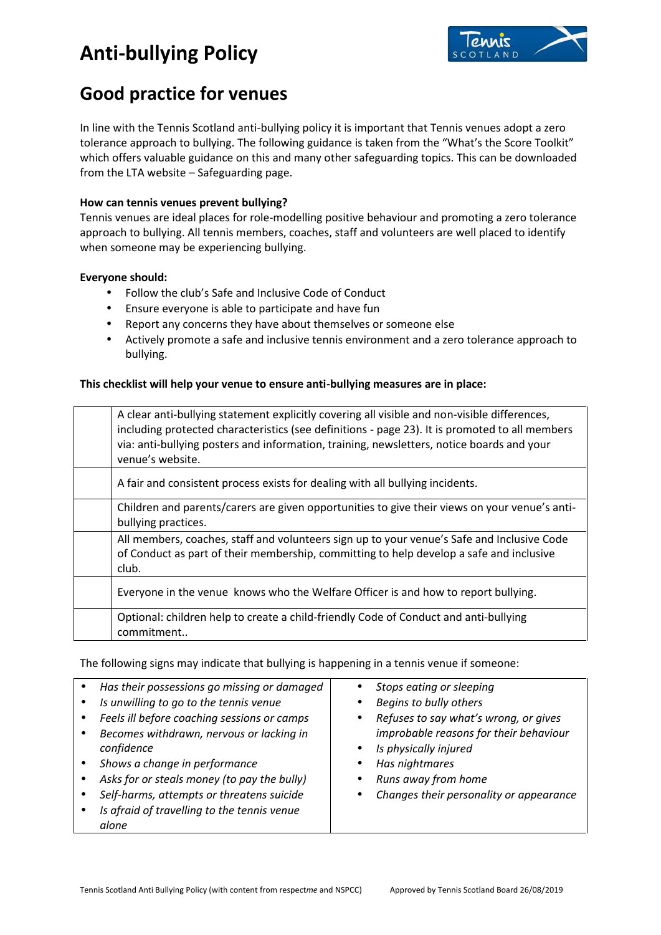

## **Good practice for venues**

In line with the Tennis Scotland anti-bullying policy it is important that Tennis venues adopt a zero tolerance approach to bullying. The following guidance is taken from the "What's the Score Toolkit" which offers valuable guidance on this and many other safeguarding topics. This can be downloaded from the LTA website – Safeguarding page.

#### **How can tennis venues prevent bullying?**

Tennis venues are ideal places for role-modelling positive behaviour and promoting a zero tolerance approach to bullying. All tennis members, coaches, staff and volunteers are well placed to identify when someone may be experiencing bullying.

#### **Everyone should:**

- Follow the club's Safe and Inclusive Code of Conduct
- Ensure everyone is able to participate and have fun
- Report any concerns they have about themselves or someone else
- Actively promote a safe and inclusive tennis environment and a zero tolerance approach to bullying.

#### **This checklist will help your venue to ensure anti-bullying measures are in place:**

| A clear anti-bullying statement explicitly covering all visible and non-visible differences,<br>including protected characteristics (see definitions - page 23). It is promoted to all members<br>via: anti-bullying posters and information, training, newsletters, notice boards and your<br>venue's website. |
|-----------------------------------------------------------------------------------------------------------------------------------------------------------------------------------------------------------------------------------------------------------------------------------------------------------------|
| A fair and consistent process exists for dealing with all bullying incidents.                                                                                                                                                                                                                                   |
| Children and parents/carers are given opportunities to give their views on your venue's anti-<br>bullying practices.                                                                                                                                                                                            |
| All members, coaches, staff and volunteers sign up to your venue's Safe and Inclusive Code<br>of Conduct as part of their membership, committing to help develop a safe and inclusive<br>club.                                                                                                                  |
| Everyone in the venue knows who the Welfare Officer is and how to report bullying.                                                                                                                                                                                                                              |
| Optional: children help to create a child-friendly Code of Conduct and anti-bullying<br>commitment                                                                                                                                                                                                              |

The following signs may indicate that bullying is happening in a tennis venue if someone:

| Has their possessions go missing or damaged | Stops eating or sleeping                |
|---------------------------------------------|-----------------------------------------|
| Is unwilling to go to the tennis venue      | Begins to bully others                  |
| Feels ill before coaching sessions or camps | Refuses to say what's wrong, or gives   |
| Becomes withdrawn, nervous or lacking in    | improbable reasons for their behaviour  |
| confidence                                  | Is physically injured                   |
| Shows a change in performance               | Has nightmares                          |
| Asks for or steals money (to pay the bully) | Runs away from home                     |
| Self-harms, attempts or threatens suicide   | Changes their personality or appearance |
| Is afraid of travelling to the tennis venue |                                         |
| alone                                       |                                         |